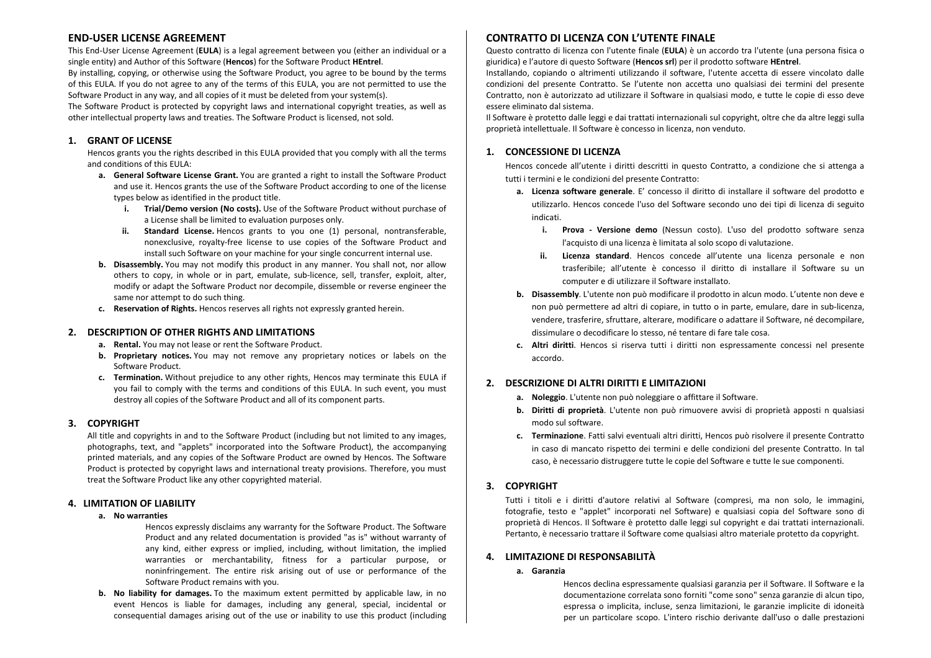# **END-USER LICENSE AGREEMENT**

This End‐User License Agreement (**EULA**) is <sup>a</sup> legal agreement between you (either an individual or <sup>a</sup> single entity) and Author of this Software (**Hencos**) for the Software Product **HEntrel**.

By installing, copying, or otherwise using the Software Product, you agree to be bound by the terms of this EULA. If you do not agree to any of the terms of this EULA, you are not permitted to use the Software Product in any way, and all copies of it must be deleted from your system(s).

The Software Product is protected by copyright laws and international copyright treaties, as well as other intellectual property laws and treaties. The Software Product is licensed, not sold.

#### **1. GRANT OF LICENSE**

Hencos grants you the rights described in this EULA provided that you comply with all the terms and conditions of this EULA:

- **a. General Software License Grant.** You are granted <sup>a</sup> right to install the Software Product and use it. Hencos grants the use of the Software Product according to one of the license types below as identified in the product title.
	- **i. Trial/Demo version (No costs).** Use of the Software Product without purchase of a License shall be limited to evaluation purposes only.
	- **ii. Standard License.** Hencos grants to you one (1) personal, nontransferable, nonexclusive, royalty‐free license to use copies of the Software Product and install such Software on your machine for your single concurrent internal use.
- **b. Disassembly.** You may not modify this product in any manner. You shall not, nor allow others to copy, in whole or in part, emulate, sub‐licence, sell, transfer, exploit, alter, modify or adapt the Software Product nor decompile, dissemble or reverse engineer the same nor attempt to do such thing.
- **c. Reservation of Rights.** Hencos reserves all rights not expressly granted herein.

## **2. DESCRIPTION OF OTHER RIGHTS AND LIMITATIONS**

- **a. Rental.** You may not lease or rent the Software Product.
- **b. Proprietary notices.** You may not remove any proprietary notices or labels on the Software Product.
- **c. Termination.** Without prejudice to any other rights, Hencos may terminate this EULA if you fail to comply with the terms and conditions of this EULA. In such event, you must destroy all copies of the Software Product and all of its component parts.

## **3. COPYRIGHT**

All title and copyrights in and to the Software Product (including but not limited to any images, photographs, text, and "applets" incorporated into the Software Product), the accompanying printed materials, and any copies of the Software Product are owned by Hencos. The Software Product is protected by copyright laws and international treaty provisions. Therefore, you must treat the Software Product like any other copyrighted material.

## **4. LIMITATION OF LIABILITY**

#### **a. No warranties**

Hencos expressly disclaims any warranty for the Software Product. The Software Product and any related documentation is provided "as is" without warranty of any kind, either express or implied, including, without limitation, the implied warranties or merchantability, fitness for <sup>a</sup> particular purpose, or noninfringement. The entire risk arising out of use or performance of the Software Product remains with you.

**b. No liability for damages.** To the maximum extent permitted by applicable law, in no event Hencos is liable for damages, including any general, special, incidental or consequential damages arising out of the use or inability to use this product (including

# **CONTRATTO DI LICENZA CON L'UTENTE FINALE**

Questo contratto di licenza con l'utente finale (**EULA**) è un accordo tra l'utente (una persona fisica <sup>o</sup> giuridica) <sup>e</sup> l'autore di questo Software (**Hencos srl**) per il prodotto software **HEntrel**.

Installando, copiando <sup>o</sup> altrimenti utilizzando il software, l'utente accetta di essere vincolato dalle condizioni del presente Contratto. Se l'utente non accetta uno qualsiasi dei termini del presente Contratto, non è autorizzato ad utilizzare il Software in qualsiasi modo, <sup>e</sup> tutte le copie di esso deve essere eliminato dal sistema.

Il Software è protetto dalle leggi <sup>e</sup> dai trattati internazionali sul copyright, oltre che da altre leggi sulla proprietà intellettuale. Il Software è concesso in licenza, non venduto.

## **1. CONCESSIONE DI LICENZA**

Hencos concede all'utente i diritti descritti in questo Contratto, <sup>a</sup> condizione che si attenga <sup>a</sup> tutti i termini e le condizioni del presente Contratto:

- **a. Licenza software generale**. E' concesso il diritto di installare il software del prodotto <sup>e</sup> utilizzarlo. Hencos concede l'uso del Software secondo uno dei tipi di licenza di seguito indicati.
	- **i. Prova Versione demo** (Nessun costo). L'uso del prodotto software senza l'acquisto di una licenza è limitata al solo scopo di valutazione.
	- **ii. Licenza standard**. Hencos concede all'utente una licenza personale <sup>e</sup> non trasferibile; all'utente è concesso il diritto di installare il Software su un computer <sup>e</sup> di utilizzare il Software installato.
- **b. Disassembly**. L'utente non può modificare il prodotto in alcun modo. L'utente non deve <sup>e</sup> non può permettere ad altri di copiare, in tutto <sup>o</sup> in parte, emulare, dare in sub‐licenza, vendere, trasferire, sfruttare, alterare, modificare <sup>o</sup> adattare il Software, né decompilare, dissimulare o decodificare lo stesso, né tentare di fare tale cosa.
- **c. Altri diritti**. Hencos si riserva tutti i diritti non espressamente concessi nel presente accordo.

## **2. DESCRIZIONE DI ALTRI DIRITTI E LIMITAZIONI**

- **a. Noleggio**. L'utente non può noleggiare <sup>o</sup> affittare il Software.
- **b. Diritti di proprietà**. L'utente non può rimuovere avvisi di proprietà apposti <sup>n</sup> qualsiasi modo sul software.
- **c. Terminazione**. Fatti salvi eventuali altri diritti, Hencos può risolvere il presente Contratto in caso di mancato rispetto dei termini <sup>e</sup> delle condizioni del presente Contratto. In tal caso, è necessario distruggere tutte le copie del Software <sup>e</sup> tutte le sue componenti.

# **3. COPYRIGHT**

Tutti i titoli <sup>e</sup> i diritti d'autore relativi al Software (compresi, ma non solo, le immagini, fotografie, testo <sup>e</sup> "applet" incorporati nel Software) <sup>e</sup> qualsiasi copia del Software sono di proprietà di Hencos. Il Software è protetto dalle leggi sul copyright <sup>e</sup> dai trattati internazionali. Pertanto, è necessario trattare il Software come qualsiasi altro materiale protetto da copyright.

## **4. LIMITAZIONE DI RESPONSABILITÀ**

#### **a. Garanzia**

Hencos declina espressamente qualsiasi garanzia per il Software. Il Software <sup>e</sup> la documentazione correlata sono forniti "come sono" senza garanzie di alcun tipo, espressa <sup>o</sup> implicita, incluse, senza limitazioni, le garanzie implicite di idoneità per un particolare scopo. L'intero rischio derivante dall'uso <sup>o</sup> dalle prestazioni